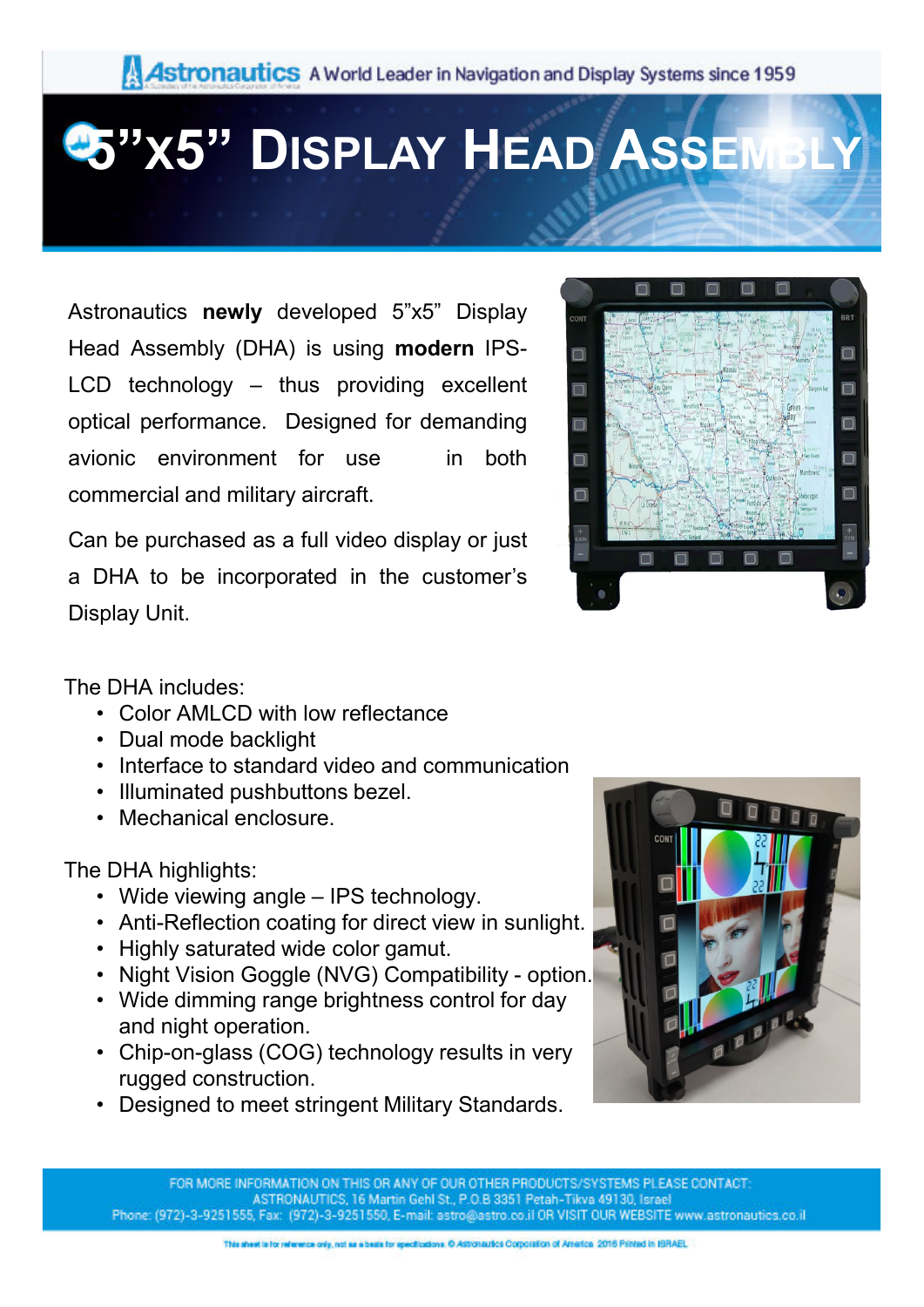## **5"X5" DISPLAY HEAD ASSEMBLY**

Astronautics **newly** developed 5"x5" Display Head Assembly (DHA) is using **modern** IPS-LCD technology – thus providing excellent optical performance. Designed for demanding avionic environment for use in both commercial and military aircraft.

Can be purchased as a full video display or just a DHA to be incorporated in the customer's Display Unit.



The DHA includes:

- Color AMLCD with low reflectance
- Dual mode backlight
- Interface to standard video and communication
- Illuminated pushbuttons bezel.
- Mechanical enclosure.

The DHA highlights:

- Wide viewing angle IPS technology.
- Anti-Reflection coating for direct view in sunlight.
- Highly saturated wide color gamut.
- Night Vision Goggle (NVG) Compatibility option.
- Wide dimming range brightness control for day and night operation.
- Chip-on-glass (COG) technology results in very rugged construction.
- Designed to meet stringent Military Standards.